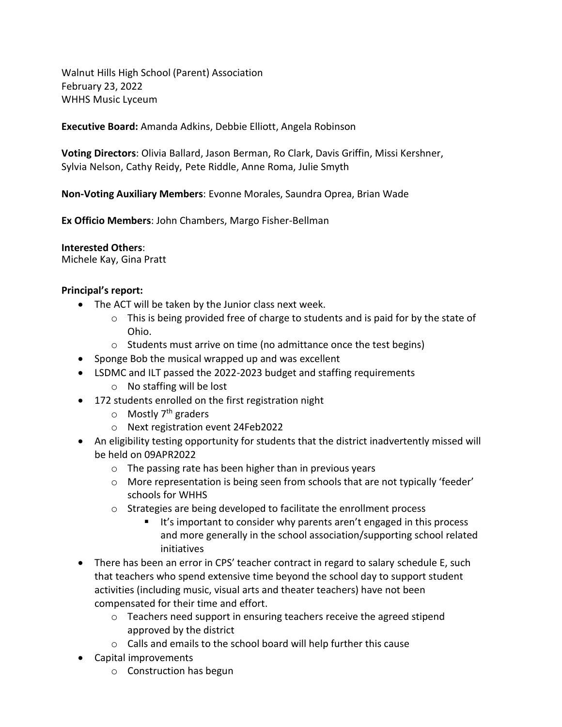Walnut Hills High School (Parent) Association February 23, 2022 WHHS Music Lyceum

**Executive Board:** Amanda Adkins, Debbie Elliott, Angela Robinson

**Voting Directors**: Olivia Ballard, Jason Berman, Ro Clark, Davis Griffin, Missi Kershner, Sylvia Nelson, Cathy Reidy, Pete Riddle, Anne Roma, Julie Smyth

**Non-Voting Auxiliary Members**: Evonne Morales, Saundra Oprea, Brian Wade

**Ex Officio Members**: John Chambers, Margo Fisher-Bellman

**Interested Others**:

Michele Kay, Gina Pratt

#### **Principal's report:**

- The ACT will be taken by the Junior class next week.
	- o This is being provided free of charge to students and is paid for by the state of Ohio.
	- o Students must arrive on time (no admittance once the test begins)
- Sponge Bob the musical wrapped up and was excellent
- LSDMC and ILT passed the 2022-2023 budget and staffing requirements
	- o No staffing will be lost
- 172 students enrolled on the first registration night
	- $\circ$  Mostly 7<sup>th</sup> graders
	- o Next registration event 24Feb2022
- An eligibility testing opportunity for students that the district inadvertently missed will be held on 09APR2022
	- o The passing rate has been higher than in previous years
	- o More representation is being seen from schools that are not typically 'feeder' schools for WHHS
	- o Strategies are being developed to facilitate the enrollment process
		- It's important to consider why parents aren't engaged in this process and more generally in the school association/supporting school related initiatives
- There has been an error in CPS' teacher contract in regard to salary schedule E, such that teachers who spend extensive time beyond the school day to support student activities (including music, visual arts and theater teachers) have not been compensated for their time and effort.
	- o Teachers need support in ensuring teachers receive the agreed stipend approved by the district
	- o Calls and emails to the school board will help further this cause
- Capital improvements
	- o Construction has begun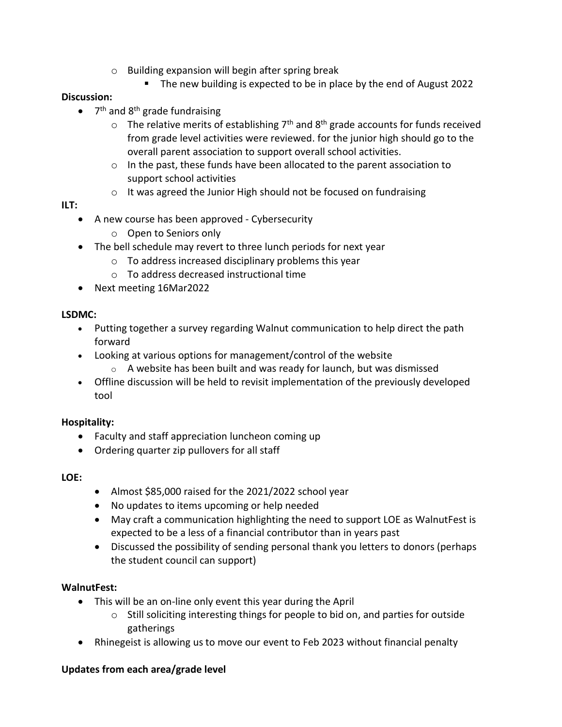- o Building expansion will begin after spring break
	- The new building is expected to be in place by the end of August 2022

### **Discussion:**

- 7<sup>th</sup> and 8<sup>th</sup> grade fundraising
	- $\circ$  The relative merits of establishing 7<sup>th</sup> and 8<sup>th</sup> grade accounts for funds received from grade level activities were reviewed. for the junior high should go to the overall parent association to support overall school activities.
	- o In the past, these funds have been allocated to the parent association to support school activities
	- o It was agreed the Junior High should not be focused on fundraising

### **ILT:**

- A new course has been approved Cybersecurity
	- o Open to Seniors only
- The bell schedule may revert to three lunch periods for next year
	- o To address increased disciplinary problems this year
	- o To address decreased instructional time
- Next meeting 16Mar2022

## **LSDMC:**

- Putting together a survey regarding Walnut communication to help direct the path forward
- Looking at various options for management/control of the website
	- o A website has been built and was ready for launch, but was dismissed
- Offline discussion will be held to revisit implementation of the previously developed tool

### **Hospitality:**

- Faculty and staff appreciation luncheon coming up
- Ordering quarter zip pullovers for all staff

### **LOE:**

- Almost \$85,000 raised for the 2021/2022 school year
- No updates to items upcoming or help needed
- May craft a communication highlighting the need to support LOE as WalnutFest is expected to be a less of a financial contributor than in years past
- Discussed the possibility of sending personal thank you letters to donors (perhaps the student council can support)

## **WalnutFest:**

- This will be an on-line only event this year during the April
	- $\circ$  Still soliciting interesting things for people to bid on, and parties for outside gatherings
- Rhinegeist is allowing us to move our event to Feb 2023 without financial penalty

## **Updates from each area/grade level**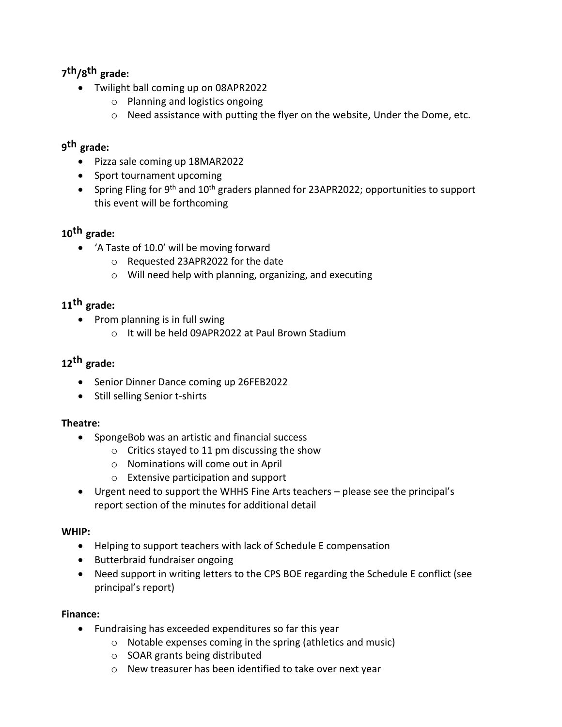# **7 th/8 th grade:**

- Twilight ball coming up on 08APR2022
	- o Planning and logistics ongoing
	- o Need assistance with putting the flyer on the website, Under the Dome, etc.

# **9 th grade:**

- Pizza sale coming up 18MAR2022
- Sport tournament upcoming
- Spring Fling for 9<sup>th</sup> and 10<sup>th</sup> graders planned for 23APR2022; opportunities to support this event will be forthcoming

# **10th grade:**

- 'A Taste of 10.0' will be moving forward
	- o Requested 23APR2022 for the date
	- o Will need help with planning, organizing, and executing

# **11th grade:**

- $\bullet$  Prom planning is in full swing
	- o It will be held 09APR2022 at Paul Brown Stadium

# **12th grade:**

- Senior Dinner Dance coming up 26FEB2022
- Still selling Senior t-shirts

## **Theatre:**

- SpongeBob was an artistic and financial success
	- $\circ$  Critics stayed to 11 pm discussing the show
	- o Nominations will come out in April
	- o Extensive participation and support
- Urgent need to support the WHHS Fine Arts teachers please see the principal's report section of the minutes for additional detail

### **WHIP:**

- Helping to support teachers with lack of Schedule E compensation
- Butterbraid fundraiser ongoing
- Need support in writing letters to the CPS BOE regarding the Schedule E conflict (see principal's report)

## **Finance:**

- Fundraising has exceeded expenditures so far this year
	- o Notable expenses coming in the spring (athletics and music)
	- o SOAR grants being distributed
	- o New treasurer has been identified to take over next year